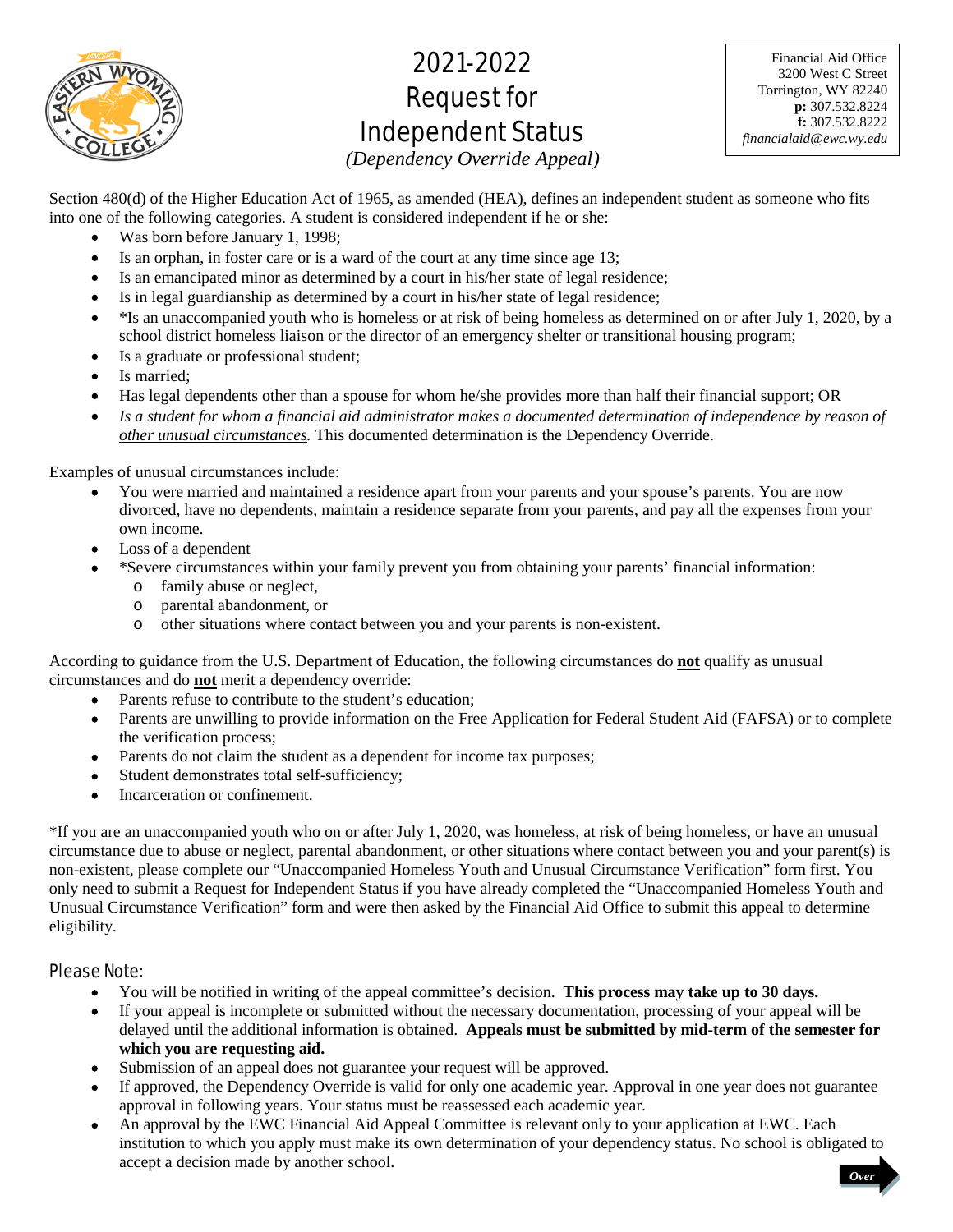

# 2021-2022 Request for Independent Status

Financial Aid Office 3200 West C Street Torrington, WY 82240 **p:** 307.532.8224 **f:** 307.532.8222 *financialaid@ewc.wy.edu*

*(Dependency Override Appeal)* 

Section 480(d) of the Higher Education Act of 1965, as amended (HEA), defines an independent student as someone who fits into one of the following categories. A student is considered independent if he or she:

- Was born before January 1, 1998;
- Is an orphan, in foster care or is a ward of the court at any time since age 13;
- Is an emancipated minor as determined by a court in his/her state of legal residence;
- Is in legal guardianship as determined by a court in his/her state of legal residence;
- $\bullet$  \*Is an unaccompanied youth who is homeless or at risk of being homeless as determined on or after July 1, 2020, by a school district homeless liaison or the director of an emergency shelter or transitional housing program;
- Is a graduate or professional student;
- Is married;
- Has legal dependents other than a spouse for whom he/she provides more than half their financial support; OR
- Is a student for whom a financial aid administrator makes a documented determination of independence by reason of *other unusual circumstances.* This documented determination is the Dependency Override.

Examples of unusual circumstances include:

- You were married and maintained a residence apart from your parents and your spouse's parents. You are now divorced, have no dependents, maintain a residence separate from your parents, and pay all the expenses from your own income.
- Loss of a dependent
- \*Severe circumstances within your family prevent you from obtaining your parents' financial information:
	- o family abuse or neglect,
	- o parental abandonment, or
	- o other situations where contact between you and your parents is non-existent.

According to guidance from the U.S. Department of Education, the following circumstances do **not** qualify as unusual circumstances and do **not** merit a dependency override:

- Parents refuse to contribute to the student's education;
- Parents are unwilling to provide information on the Free Application for Federal Student Aid (FAFSA) or to complete the verification process;
- Parents do not claim the student as a dependent for income tax purposes;
- Student demonstrates total self-sufficiency;
- Incarceration or confinement.

\*If you are an unaccompanied youth who on or after July 1, 2020, was homeless, at risk of being homeless, or have an unusual circumstance due to abuse or neglect, parental abandonment, or other situations where contact between you and your parent(s) is non-existent, please complete our "Unaccompanied Homeless Youth and Unusual Circumstance Verification" form first. You only need to submit a Request for Independent Status if you have already completed the "Unaccompanied Homeless Youth and Unusual Circumstance Verification" form and were then asked by the Financial Aid Office to submit this appeal to determine eligibility.

# Please Note:

- You will be notified in writing of the appeal committee's decision. **This process may take up to 30 days.**
- If your appeal is incomplete or submitted without the necessary documentation, processing of your appeal will be delayed until the additional information is obtained. **Appeals must be submitted by mid-term of the semester for which you are requesting aid.**
- Submission of an appeal does not guarantee your request will be approved.
- If approved, the Dependency Override is valid for only one academic year. Approval in one year does not guarantee approval in following years. Your status must be reassessed each academic year.
- An approval by the EWC Financial Aid Appeal Committee is relevant only to your application at EWC. Each institution to which you apply must make its own determination of your dependency status. No school is obligated to accept a decision made by another school. *Over*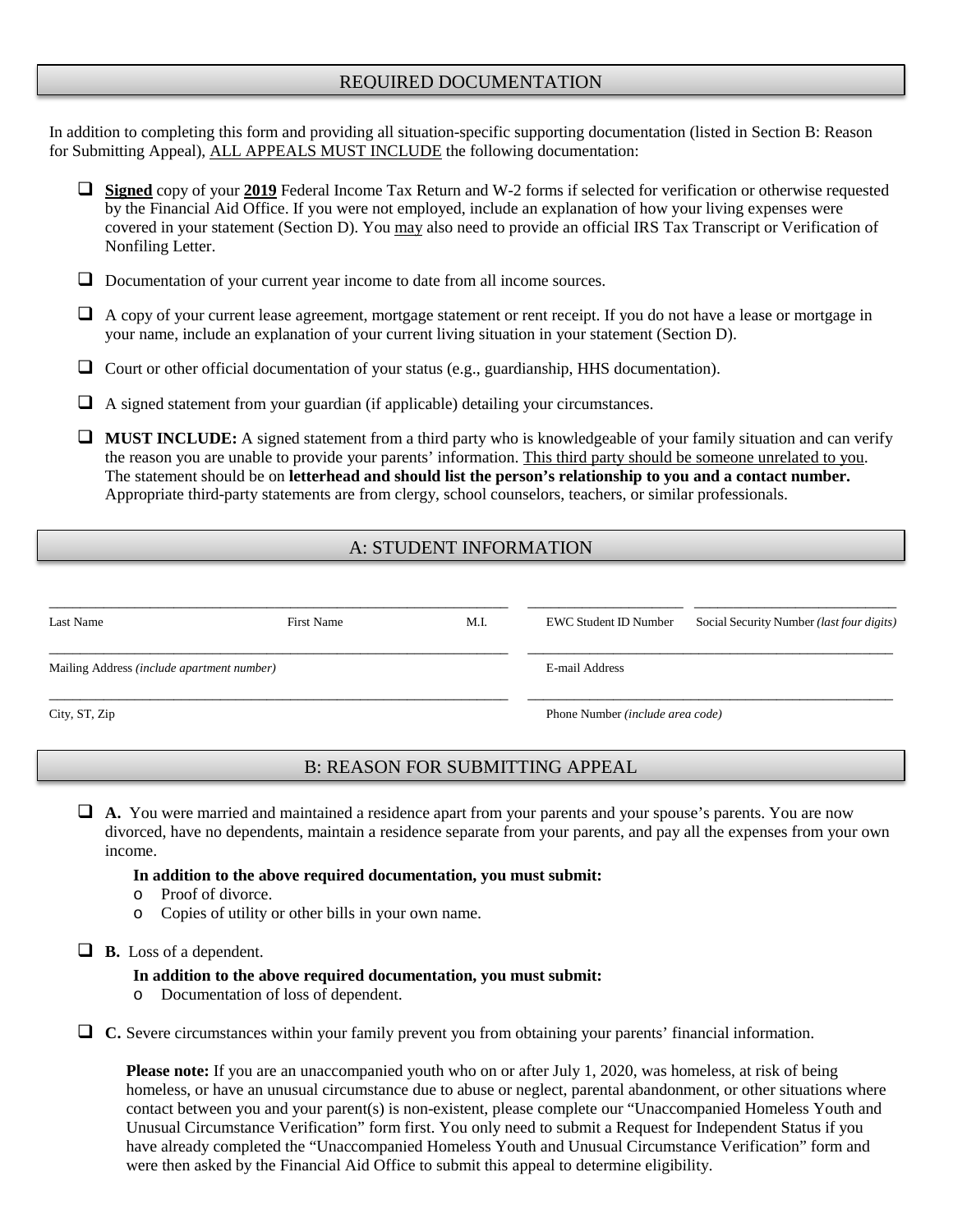# REQUIRED DOCUMENTATION

In addition to completing this form and providing all situation-specific supporting documentation (listed in Section B: Reason for Submitting Appeal), ALL APPEALS MUST INCLUDE the following documentation:

- **Signed** copy of your **2019** Federal Income Tax Return and W-2 forms if selected for verification or otherwise requested by the Financial Aid Office. If you were not employed, include an explanation of how your living expenses were covered in your statement (Section D). You may also need to provide an official IRS Tax Transcript or Verification of Nonfiling Letter.
- □ Documentation of your current year income to date from all income sources.
- $\Box$  A copy of your current lease agreement, mortgage statement or rent receipt. If you do not have a lease or mortgage in your name, include an explanation of your current living situation in your statement (Section D).
- $\Box$  Court or other official documentation of your status (e.g., guardianship, HHS documentation).
- $\Box$  A signed statement from your guardian (if applicable) detailing your circumstances.
- **MUST INCLUDE:** A signed statement from a third party who is knowledgeable of your family situation and can verify the reason you are unable to provide your parents' information. This third party should be someone unrelated to you. The statement should be on **letterhead and should list the person's relationship to you and a contact number.** Appropriate third-party statements are from clergy, school counselors, teachers, or similar professionals.

# A: STUDENT INFORMATION

| Last Name                                  | First Name | M.I. | EWC Student ID Number                   | Social Security Number <i>(last four digits)</i> |  |
|--------------------------------------------|------------|------|-----------------------------------------|--------------------------------------------------|--|
| Mailing Address (include apartment number) |            |      | E-mail Address                          |                                                  |  |
| City, ST, Zip                              |            |      | Phone Number <i>(include area code)</i> |                                                  |  |

# B: REASON FOR SUBMITTING APPEAL

 **A.** You were married and maintained a residence apart from your parents and your spouse's parents. You are now divorced, have no dependents, maintain a residence separate from your parents, and pay all the expenses from your own income.

#### **In addition to the above required documentation, you must submit:**

- o Proof of divorce.<br>  $\circ$  Copies of utility of
- Copies of utility or other bills in your own name.

**B.** Loss of a dependent.

### **In addition to the above required documentation, you must submit:**

o Documentation of loss of dependent.

**C.** Severe circumstances within your family prevent you from obtaining your parents' financial information.

**Please note:** If you are an unaccompanied youth who on or after July 1, 2020, was homeless, at risk of being homeless, or have an unusual circumstance due to abuse or neglect, parental abandonment, or other situations where contact between you and your parent(s) is non-existent, please complete our "Unaccompanied Homeless Youth and Unusual Circumstance Verification" form first. You only need to submit a Request for Independent Status if you have already completed the "Unaccompanied Homeless Youth and Unusual Circumstance Verification" form and were then asked by the Financial Aid Office to submit this appeal to determine eligibility.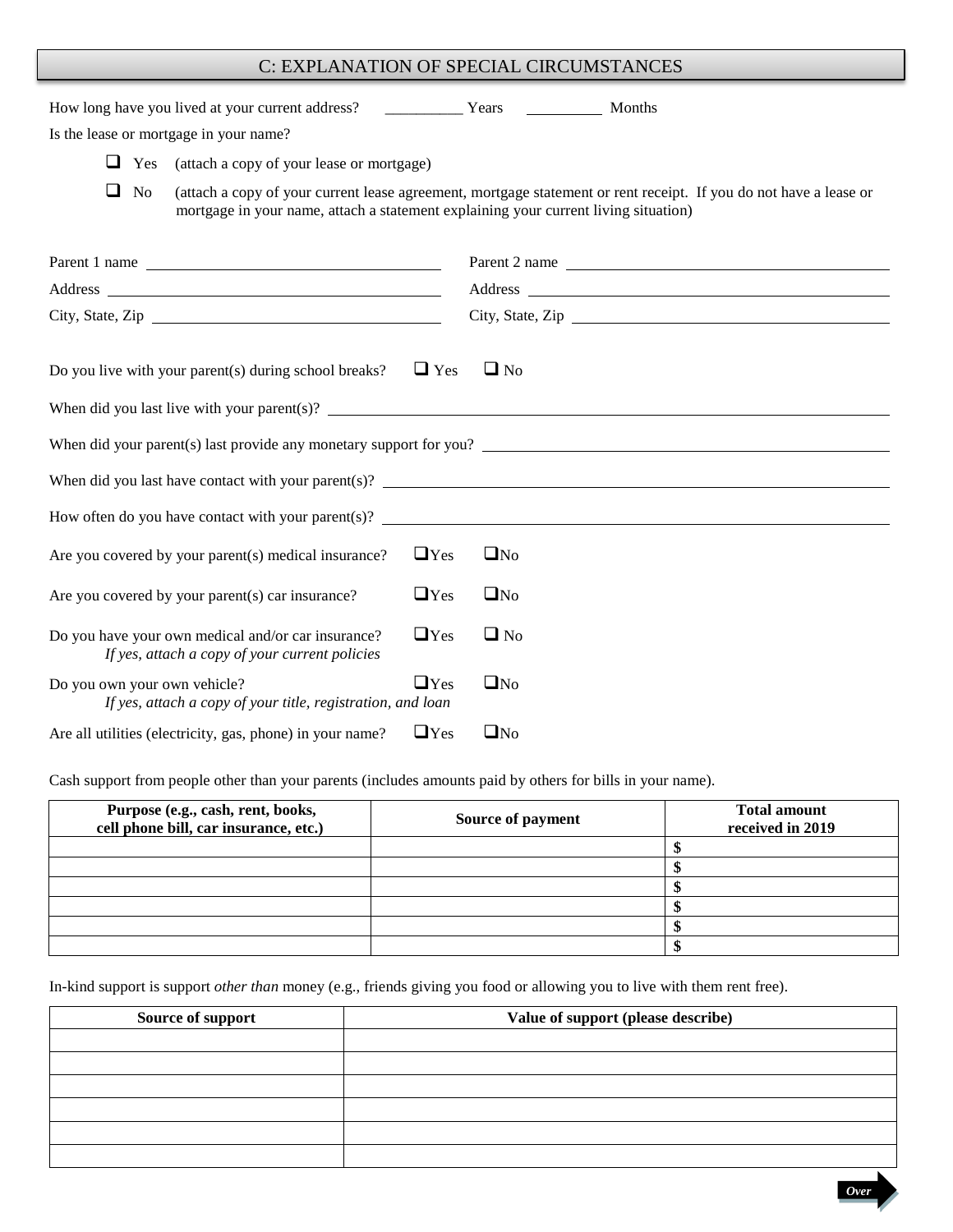# C: EXPLANATION OF SPECIAL CIRCUMSTANCES

| Is the lease or mortgage in your name?                                                                                                                                                                                                                                                                                                                                                                           |            |              |                                                                                                                   |  |
|------------------------------------------------------------------------------------------------------------------------------------------------------------------------------------------------------------------------------------------------------------------------------------------------------------------------------------------------------------------------------------------------------------------|------------|--------------|-------------------------------------------------------------------------------------------------------------------|--|
| $\Box$ Yes<br>(attach a copy of your lease or mortgage)                                                                                                                                                                                                                                                                                                                                                          |            |              |                                                                                                                   |  |
| $\Box$ No<br>mortgage in your name, attach a statement explaining your current living situation)                                                                                                                                                                                                                                                                                                                 |            |              | (attach a copy of your current lease agreement, mortgage statement or rent receipt. If you do not have a lease or |  |
| Parent 1 name                                                                                                                                                                                                                                                                                                                                                                                                    |            |              | Parent 2 name                                                                                                     |  |
|                                                                                                                                                                                                                                                                                                                                                                                                                  |            |              |                                                                                                                   |  |
| City, State, Zip                                                                                                                                                                                                                                                                                                                                                                                                 |            |              | City, State, Zip                                                                                                  |  |
| Do you live with your parent(s) during school breaks?<br>When did you last live with your parent(s)? $\frac{1}{2}$ and $\frac{1}{2}$ and $\frac{1}{2}$ and $\frac{1}{2}$ and $\frac{1}{2}$ and $\frac{1}{2}$ and $\frac{1}{2}$ and $\frac{1}{2}$ and $\frac{1}{2}$ and $\frac{1}{2}$ and $\frac{1}{2}$ and $\frac{1}{2}$ and $\frac{1}{2}$<br>When did your parent(s) last provide any monetary support for you? | $\Box$ Yes | $\Box$ No    |                                                                                                                   |  |
| How often do you have contact with your parent(s)? $\qquad \qquad$                                                                                                                                                                                                                                                                                                                                               |            |              |                                                                                                                   |  |
| Are you covered by your parent(s) medical insurance?                                                                                                                                                                                                                                                                                                                                                             | $\Box$ Yes | $\square$ No |                                                                                                                   |  |
| Are you covered by your parent(s) car insurance?                                                                                                                                                                                                                                                                                                                                                                 | $\Box$ Yes | $\square$ No |                                                                                                                   |  |
| Do you have your own medical and/or car insurance?<br>If yes, attach a copy of your current policies                                                                                                                                                                                                                                                                                                             | $\Box$ Yes | $\Box$ No    |                                                                                                                   |  |
| Do you own your own vehicle?<br>If yes, attach a copy of your title, registration, and loan                                                                                                                                                                                                                                                                                                                      | $\Box$ Yes | $\square$ No |                                                                                                                   |  |
| Are all utilities (electricity, gas, phone) in your name?                                                                                                                                                                                                                                                                                                                                                        | $\Box$ Yes | $\square$ No |                                                                                                                   |  |

Cash support from people other than your parents (includes amounts paid by others for bills in your name).

| Purpose (e.g., cash, rent, books,<br>cell phone bill, car insurance, etc.) | Source of payment | <b>Total amount</b><br>received in 2019 |
|----------------------------------------------------------------------------|-------------------|-----------------------------------------|
|                                                                            |                   |                                         |
|                                                                            |                   |                                         |
|                                                                            |                   |                                         |
|                                                                            |                   |                                         |
|                                                                            |                   |                                         |
|                                                                            |                   |                                         |

In-kind support is support *other than* money (e.g., friends giving you food or allowing you to live with them rent free).

| Source of support | Value of support (please describe) |
|-------------------|------------------------------------|
|                   |                                    |
|                   |                                    |
|                   |                                    |
|                   |                                    |
|                   |                                    |
|                   |                                    |